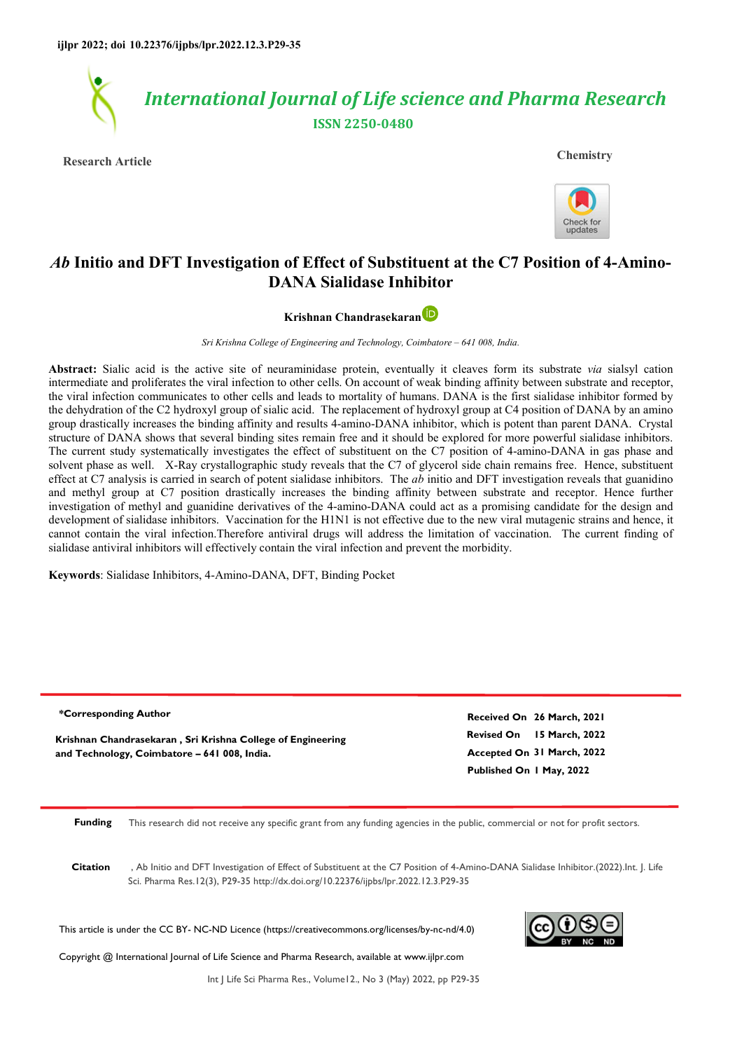

**Research Article Chemistry**



undates

# *Ab* **Initio and DFT Investigation of Effect of Substituent at the C7 Position of 4-Amino-DANA Sialidase Inhibitor**

**Krishnan Chandrasekaran** 

*Sri Krishna College of Engineering and Technology, Coimbatore – 641 008, India.* 

**Abstract:** Sialic acid is the active site of neuraminidase protein, eventually it cleaves form its substrate *via* sialsyl cation intermediate and proliferates the viral infection to other cells. On account of weak binding affinity between substrate and receptor, the viral infection communicates to other cells and leads to mortality of humans. DANA is the first sialidase inhibitor formed by the dehydration of the C2 hydroxyl group of sialic acid. The replacement of hydroxyl group at C4 position of DANA by an amino group drastically increases the binding affinity and results 4-amino-DANA inhibitor, which is potent than parent DANA. Crystal structure of DANA shows that several binding sites remain free and it should be explored for more powerful sialidase inhibitors. The current study systematically investigates the effect of substituent on the C7 position of 4-amino-DANA in gas phase and solvent phase as well. X-Ray crystallographic study reveals that the C7 of glycerol side chain remains free. Hence, substituent effect at C7 analysis is carried in search of potent sialidase inhibitors. The *ab* initio and DFT investigation reveals that guanidino and methyl group at C7 position drastically increases the binding affinity between substrate and receptor. Hence further investigation of methyl and guanidine derivatives of the 4-amino-DANA could act as a promising candidate for the design and development of sialidase inhibitors. Vaccination for the H1N1 is not effective due to the new viral mutagenic strains and hence, it cannot contain the viral infection.Therefore antiviral drugs will address the limitation of vaccination. The current finding of sialidase antiviral inhibitors will effectively contain the viral infection and prevent the morbidity.

**Keywords**: Sialidase Inhibitors, 4-Amino-DANA, DFT, Binding Pocket

**Revised On 15 March, 2022 Accepted On 31 March, 2022 Published On 1 May, 2022 Received On 26 March, 2021 Krishnan Chandrasekaran , Sri Krishna College of Engineering and Technology, Coimbatore – 641 008, India. \*Corresponding Author**

**Funding** This research did not receive any specific grant from any funding agencies in the public, commercial or not for profit sectors.

**Citation** , Ab Initio and DFT Investigation of Effect of Substituent at the C7 Position of 4-Amino-DANA Sialidase Inhibitor.(2022).Int. J. Life Sci. Pharma Res.12(3), P29-35 http://dx.doi.org/10.22376/ijpbs/lpr.2022.12.3.P29-35

This article is under the CC BY- NC-ND Licence (https://creativecommons.org/licenses/by-nc-nd/4.0)

Copyright @ International Journal of Life Science and Pharma Research, available at www.ijlpr.com



Int J Life Sci Pharma Res., Volume12., No 3 (May) 2022, pp P29-35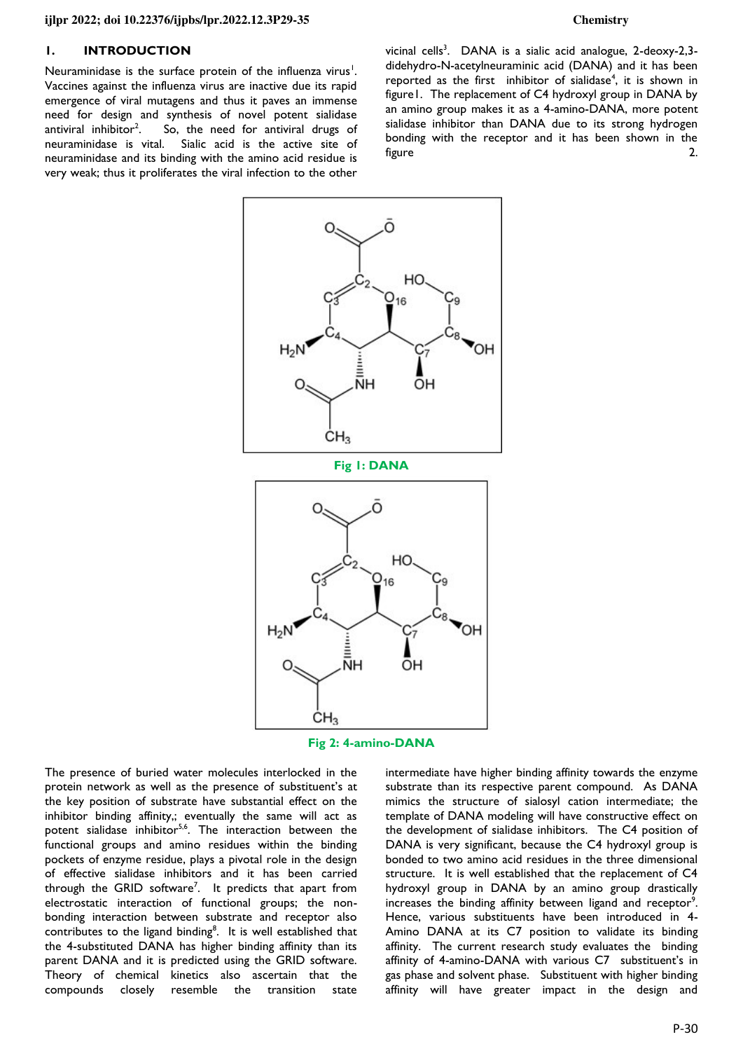## **1. INTRODUCTION**

Neuraminidase is the surface protein of the influenza virus<sup>1</sup>. Vaccines against the influenza virus are inactive due its rapid emergence of viral mutagens and thus it paves an immense need for design and synthesis of novel potent sialidase antiviral inhibitor<sup>2</sup>. So, the need for antiviral drugs of neuraminidase is vital. Sialic acid is the active site of neuraminidase and its binding with the amino acid residue is very weak; thus it proliferates the viral infection to the other

vicinal cells<sup>3</sup>. DANA is a sialic acid analogue, 2-deoxy-2,3didehydro-N-acetylneuraminic acid (DANA) and it has been reported as the first inhibitor of sialidase<sup>4</sup>, it is shown in figure1. The replacement of C4 hydroxyl group in DANA by an amino group makes it as a 4-amino-DANA, more potent sialidase inhibitor than DANA due to its strong hydrogen bonding with the receptor and it has been shown in the figure 2.





The presence of buried water molecules interlocked in the protein network as well as the presence of substituent's at the key position of substrate have substantial effect on the inhibitor binding affinity,; eventually the same will act as potent sialidase inhibitor<sup>5,6</sup>. The interaction between the functional groups and amino residues within the binding pockets of enzyme residue, plays a pivotal role in the design of effective sialidase inhibitors and it has been carried through the GRID software<sup>7</sup>. It predicts that apart from electrostatic interaction of functional groups; the nonbonding interaction between substrate and receptor also contributes to the ligand binding<sup>8</sup>. It is well established that the 4-substituted DANA has higher binding affinity than its parent DANA and it is predicted using the GRID software. Theory of chemical kinetics also ascertain that the compounds closely resemble the transition state

intermediate have higher binding affinity towards the enzyme substrate than its respective parent compound. As DANA mimics the structure of sialosyl cation intermediate; the template of DANA modeling will have constructive effect on the development of sialidase inhibitors. The C4 position of DANA is very significant, because the C4 hydroxyl group is bonded to two amino acid residues in the three dimensional structure. It is well established that the replacement of C4 hydroxyl group in DANA by an amino group drastically increases the binding affinity between ligand and receptor<sup>9</sup>. Hence, various substituents have been introduced in 4- Amino DANA at its C7 position to validate its binding affinity. The current research study evaluates the binding affinity of 4-amino-DANA with various C7 substituent's in gas phase and solvent phase. Substituent with higher binding affinity will have greater impact in the design and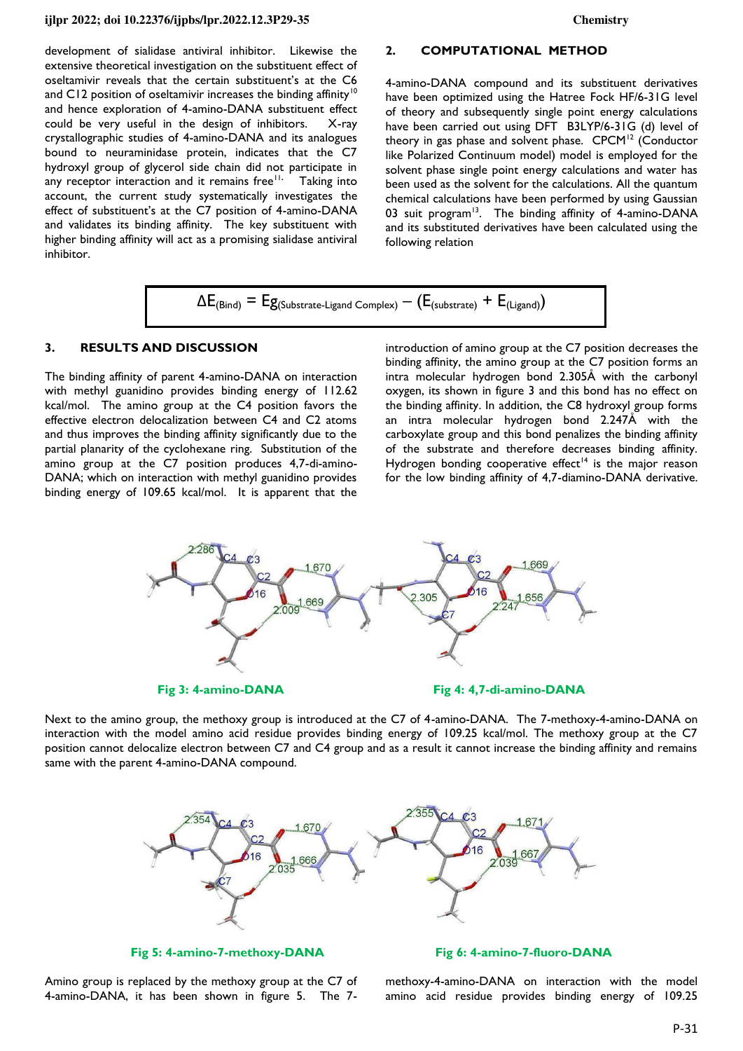development of sialidase antiviral inhibitor. Likewise the extensive theoretical investigation on the substituent effect of oseltamivir reveals that the certain substituent's at the C6 and C12 position of oseltamivir increases the binding affinity<sup>10</sup> and hence exploration of 4-amino-DANA substituent effect could be very useful in the design of inhibitors. X-ray crystallographic studies of 4-amino-DANA and its analogues bound to neuraminidase protein, indicates that the C7 hydroxyl group of glycerol side chain did not participate in any receptor interaction and it remains free<sup>11.</sup> Taking into account, the current study systematically investigates the effect of substituent's at the C7 position of 4-amino-DANA and validates its binding affinity. The key substituent with higher binding affinity will act as a promising sialidase antiviral inhibitor.

### **2. COMPUTATIONAL METHOD**

4-amino-DANA compound and its substituent derivatives have been optimized using the Hatree Fock HF/6-31G level of theory and subsequently single point energy calculations have been carried out using DFT B3LYP/6-31G (d) level of theory in gas phase and solvent phase.  $CPCM^{12}$  (Conductor like Polarized Continuum model) model is employed for the solvent phase single point energy calculations and water has been used as the solvent for the calculations. All the quantum chemical calculations have been performed by using Gaussian 03 suit program<sup>13</sup>. The binding affinity of 4-amino-DANA and its substituted derivatives have been calculated using the following relation

$$
\Delta E_{(Bind)} = E g_{(Substrate\text{-}Ligand\text{ Complex})} - (E_{(substrate)} + E_{(Ligand)})
$$

## **3. RESULTS AND DISCUSSION**

The binding affinity of parent 4-amino-DANA on interaction with methyl guanidino provides binding energy of 112.62 kcal/mol. The amino group at the C4 position favors the effective electron delocalization between C4 and C2 atoms and thus improves the binding affinity significantly due to the partial planarity of the cyclohexane ring. Substitution of the amino group at the C7 position produces 4,7-di-amino-DANA; which on interaction with methyl guanidino provides binding energy of 109.65 kcal/mol. It is apparent that the introduction of amino group at the C7 position decreases the binding affinity, the amino group at the C7 position forms an intra molecular hydrogen bond 2.305Å with the carbonyl oxygen, its shown in figure 3 and this bond has no effect on the binding affinity. In addition, the C8 hydroxyl group forms an intra molecular hydrogen bond 2.247Å with the carboxylate group and this bond penalizes the binding affinity of the substrate and therefore decreases binding affinity. Hydrogen bonding cooperative effect<sup>14</sup> is the major reason for the low binding affinity of 4,7-diamino-DANA derivative.



Next to the amino group, the methoxy group is introduced at the C7 of 4-amino-DANA. The 7-methoxy-4-amino-DANA on interaction with the model amino acid residue provides binding energy of 109.25 kcal/mol. The methoxy group at the C7 position cannot delocalize electron between C7 and C4 group and as a result it cannot increase the binding affinity and remains same with the parent 4-amino-DANA compound.



Amino group is replaced by the methoxy group at the C7 of 4-amino-DANA, it has been shown in figure 5. The 7-

**Fig 5: 4-amino-7-methoxy-DANA Fig 6: 4-amino-7-fluoro-DANA** 

methoxy-4-amino-DANA on interaction with the model amino acid residue provides binding energy of 109.25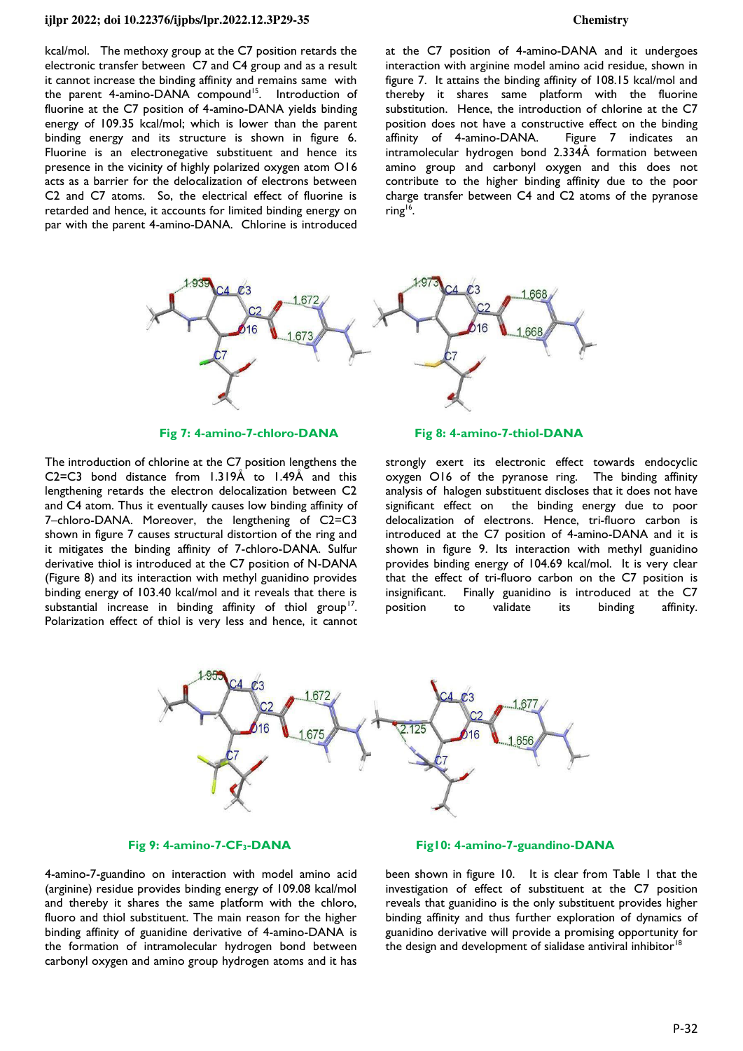kcal/mol. The methoxy group at the C7 position retards the electronic transfer between C7 and C4 group and as a result it cannot increase the binding affinity and remains same with the parent 4-amino-DANA compound<sup>15</sup>. Introduction of fluorine at the C7 position of 4-amino-DANA yields binding energy of 109.35 kcal/mol; which is lower than the parent binding energy and its structure is shown in figure 6. Fluorine is an electronegative substituent and hence its presence in the vicinity of highly polarized oxygen atom O16 acts as a barrier for the delocalization of electrons between C2 and C7 atoms. So, the electrical effect of fluorine is retarded and hence, it accounts for limited binding energy on par with the parent 4-amino-DANA. Chlorine is introduced

at the C7 position of 4-amino-DANA and it undergoes interaction with arginine model amino acid residue, shown in figure 7. It attains the binding affinity of 108.15 kcal/mol and thereby it shares same platform with the fluorine substitution. Hence, the introduction of chlorine at the C7 position does not have a constructive effect on the binding affinity of 4-amino-DANA. Figure 7 indicates an intramolecular hydrogen bond 2.334Å formation between amino group and carbonyl oxygen and this does not contribute to the higher binding affinity due to the poor charge transfer between C4 and C2 atoms of the pyranose ring<sup>16</sup>.



The introduction of chlorine at the C7 position lengthens the C2=C3 bond distance from 1.319Å to 1.49Å and this lengthening retards the electron delocalization between C2 and C4 atom. Thus it eventually causes low binding affinity of 7–chloro-DANA. Moreover, the lengthening of C2=C3 shown in figure 7 causes structural distortion of the ring and it mitigates the binding affinity of 7-chloro-DANA. Sulfur derivative thiol is introduced at the C7 position of N-DANA (Figure 8) and its interaction with methyl guanidino provides binding energy of 103.40 kcal/mol and it reveals that there is substantial increase in binding affinity of thiol group<sup>17</sup>. Polarization effect of thiol is very less and hence, it cannot

**Fig 7: 4-amino-7-chloro-DANA Fig 8: 4-amino-7-thiol-DANA** 

strongly exert its electronic effect towards endocyclic oxygen O16 of the pyranose ring. The binding affinity analysis of halogen substituent discloses that it does not have significant effect on the binding energy due to poor delocalization of electrons. Hence, tri-fluoro carbon is introduced at the C7 position of 4-amino-DANA and it is shown in figure 9. Its interaction with methyl guanidino provides binding energy of 104.69 kcal/mol. It is very clear that the effect of tri-fluoro carbon on the C7 position is insignificant. Finally guanidino is introduced at the C7 position to validate its binding affinity.



### **Fig 9: 4-amino-7-CF3-DANA Fig10: 4-amino-7-guandino-DANA**

4-amino-7-guandino on interaction with model amino acid (arginine) residue provides binding energy of 109.08 kcal/mol and thereby it shares the same platform with the chloro, fluoro and thiol substituent. The main reason for the higher binding affinity of guanidine derivative of 4-amino-DANA is the formation of intramolecular hydrogen bond between carbonyl oxygen and amino group hydrogen atoms and it has been shown in figure 10. It is clear from Table 1 that the investigation of effect of substituent at the C7 position reveals that guanidino is the only substituent provides higher binding affinity and thus further exploration of dynamics of guanidino derivative will provide a promising opportunity for the design and development of sialidase antiviral inhibitor<sup>18</sup>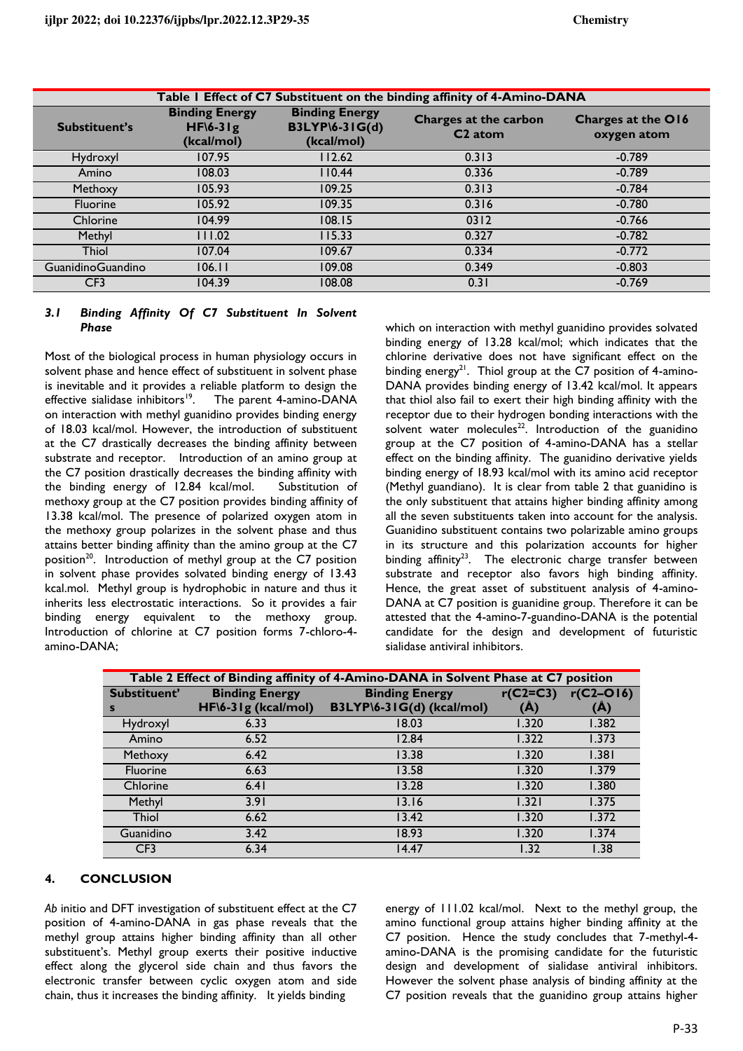| Table I Effect of C7 Substituent on the binding affinity of 4-Amino-DANA |                                                    |                                                              |                                              |                                   |  |  |
|--------------------------------------------------------------------------|----------------------------------------------------|--------------------------------------------------------------|----------------------------------------------|-----------------------------------|--|--|
| Substituent's                                                            | <b>Binding Energy</b><br>$HF(6-31g)$<br>(kcal/mol) | <b>Binding Energy</b><br><b>B3LYP\6-31G(d)</b><br>(kcal/mol) | Charges at the carbon<br>C <sub>2</sub> atom | Charges at the O16<br>oxygen atom |  |  |
| Hydroxyl                                                                 | 107.95                                             | 112.62                                                       | 0.313                                        | $-0.789$                          |  |  |
| Amino                                                                    | 108.03                                             | 110.44                                                       | 0.336                                        | $-0.789$                          |  |  |
| Methoxy                                                                  | 105.93                                             | 109.25                                                       | 0.313                                        | $-0.784$                          |  |  |
| Fluorine                                                                 | 105.92                                             | 109.35                                                       | 0.316                                        | $-0.780$                          |  |  |
| Chlorine                                                                 | 104.99                                             | 108.15                                                       | 0312                                         | $-0.766$                          |  |  |
| Methyl                                                                   | 111.02                                             | 115.33                                                       | 0.327                                        | $-0.782$                          |  |  |
| <b>Thiol</b>                                                             | 107.04                                             | 109.67                                                       | 0.334                                        | $-0.772$                          |  |  |
| GuanidinoGuandino                                                        | 106.11                                             | 109.08                                                       | 0.349                                        | $-0.803$                          |  |  |
| CF <sub>3</sub>                                                          | 104.39                                             | 108.08                                                       | 0.31                                         | $-0.769$                          |  |  |

## *3.1 Binding Affinity Of C7 Substituent In Solvent Phase*

Most of the biological process in human physiology occurs in solvent phase and hence effect of substituent in solvent phase is inevitable and it provides a reliable platform to design the effective sialidase inhibitors<sup>19</sup>. The parent 4-amino-DANA on interaction with methyl guanidino provides binding energy of 18.03 kcal/mol. However, the introduction of substituent at the C7 drastically decreases the binding affinity between substrate and receptor. Introduction of an amino group at the C7 position drastically decreases the binding affinity with the binding energy of 12.84 kcal/mol. Substitution of methoxy group at the C7 position provides binding affinity of 13.38 kcal/mol. The presence of polarized oxygen atom in the methoxy group polarizes in the solvent phase and thus attains better binding affinity than the amino group at the C7 position<sup>20</sup>. Introduction of methyl group at the C7 position in solvent phase provides solvated binding energy of 13.43 kcal.mol. Methyl group is hydrophobic in nature and thus it inherits less electrostatic interactions. So it provides a fair binding energy equivalent to the methoxy group. Introduction of chlorine at C7 position forms 7-chloro-4 amino-DANA;

which on interaction with methyl guanidino provides solvated binding energy of 13.28 kcal/mol; which indicates that the chlorine derivative does not have significant effect on the binding energy<sup>21</sup>. Thiol group at the C7 position of 4-amino-DANA provides binding energy of 13.42 kcal/mol. It appears that thiol also fail to exert their high binding affinity with the receptor due to their hydrogen bonding interactions with the solvent water molecules<sup>22</sup>. Introduction of the guanidino group at the C7 position of 4-amino-DANA has a stellar effect on the binding affinity. The guanidino derivative yields binding energy of 18.93 kcal/mol with its amino acid receptor (Methyl guandiano). It is clear from table 2 that guanidino is the only substituent that attains higher binding affinity among all the seven substituents taken into account for the analysis. Guanidino substituent contains two polarizable amino groups in its structure and this polarization accounts for higher binding affinity<sup>23</sup>. The electronic charge transfer between substrate and receptor also favors high binding affinity. Hence, the great asset of substituent analysis of 4-amino-DANA at C7 position is guanidine group. Therefore it can be attested that the 4-amino-7-guandino-DANA is the potential candidate for the design and development of futuristic sialidase antiviral inhibitors.

| Table 2 Effect of Binding affinity of 4-Amino-DANA in Solvent Phase at C7 position |                       |                           |                |                |  |  |
|------------------------------------------------------------------------------------|-----------------------|---------------------------|----------------|----------------|--|--|
| Substituent'                                                                       | <b>Binding Energy</b> | <b>Binding Energy</b>     | $r(C2=C3)$     | $r(C2 - O16)$  |  |  |
| s                                                                                  | HF\6-31g (kcal/mol)   | B3LYP\6-31G(d) (kcal/mol) | $(\mathbb{A})$ | $(\mathbb{A})$ |  |  |
| Hydroxyl                                                                           | 6.33                  | 18.03                     | 1.320          | 1.382          |  |  |
| Amino                                                                              | 6.52                  | 12.84                     | 1.322          | 1.373          |  |  |
| Methoxy                                                                            | 6.42                  | 13.38                     | 1.320          | 1.381          |  |  |
| <b>Fluorine</b>                                                                    | 6.63                  | 13.58                     | 1.320          | 1.379          |  |  |
| Chlorine                                                                           | 6.41                  | 13.28                     | 1.320          | 1.380          |  |  |
| Methyl                                                                             | 3.91                  | 13.16                     | 1.321          | 1.375          |  |  |
| Thiol                                                                              | 6.62                  | 13.42                     | 1.320          | 1.372          |  |  |
| Guanidino                                                                          | 3.42                  | 18.93                     | 1.320          | 1.374          |  |  |
| CF <sub>3</sub>                                                                    | 6.34                  | 14.47                     | 1.32           | l.38           |  |  |

## **4. CONCLUSION**

*Ab* initio and DFT investigation of substituent effect at the C7 position of 4-amino-DANA in gas phase reveals that the methyl group attains higher binding affinity than all other substituent's. Methyl group exerts their positive inductive effect along the glycerol side chain and thus favors the electronic transfer between cyclic oxygen atom and side chain, thus it increases the binding affinity. It yields binding

energy of 111.02 kcal/mol. Next to the methyl group, the amino functional group attains higher binding affinity at the C7 position. Hence the study concludes that 7-methyl-4 amino-DANA is the promising candidate for the futuristic design and development of sialidase antiviral inhibitors. However the solvent phase analysis of binding affinity at the C7 position reveals that the guanidino group attains higher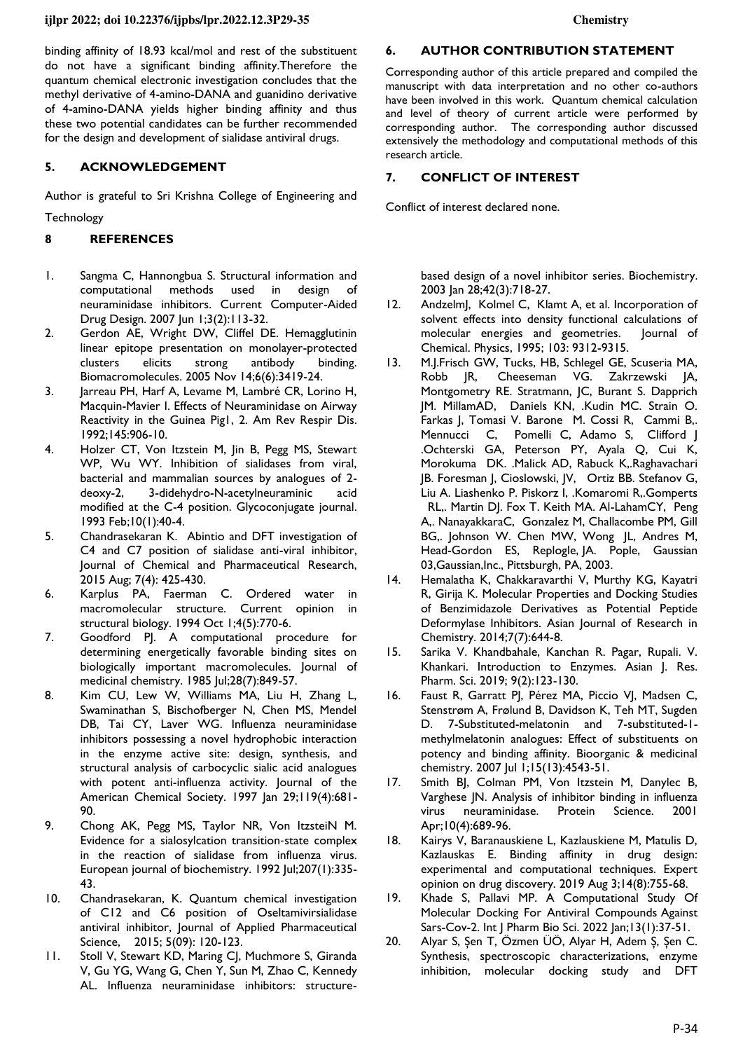binding affinity of 18.93 kcal/mol and rest of the substituent do not have a significant binding affinity.Therefore the quantum chemical electronic investigation concludes that the methyl derivative of 4-amino-DANA and guanidino derivative of 4-amino-DANA yields higher binding affinity and thus these two potential candidates can be further recommended for the design and development of sialidase antiviral drugs.

## **5. ACKNOWLEDGEMENT**

Author is grateful to Sri Krishna College of Engineering and **Technology** 

### **8 REFERENCES**

- 1. Sangma C, Hannongbua S. Structural information and computational methods used in design of neuraminidase inhibitors. Current Computer-Aided Drug Design. 2007 Jun 1;3(2):113-32.
- 2. Gerdon AE, Wright DW, Cliffel DE. Hemagglutinin linear epitope presentation on monolayer-protected clusters elicits strong antibody binding. Biomacromolecules. 2005 Nov 14;6(6):3419-24.
- 3. Jarreau PH, Harf A, Levame M, Lambré CR, Lorino H, Macquin-Mavier I. Effects of Neuraminidase on Airway Reactivity in the Guinea Pig1, 2. Am Rev Respir Dis. 1992;145:906-10.
- 4. Holzer CT, Von Itzstein M, Jin B, Pegg MS, Stewart WP, Wu WY. Inhibition of sialidases from viral, bacterial and mammalian sources by analogues of 2 deoxy-2, 3-didehydro-N-acetylneuraminic acid modified at the C-4 position. Glycoconjugate journal. 1993 Feb;10(1):40-4.
- 5. Chandrasekaran K. Abintio and DFT investigation of C4 and C7 position of sialidase anti-viral inhibitor, Journal of Chemical and Pharmaceutical Research, 2015 Aug; 7(4): 425-430.
- 6. Karplus PA, Faerman C. Ordered water in macromolecular structure. Current opinion in structural biology. 1994 Oct 1;4(5):770-6.
- 7. Goodford PJ. A computational procedure for determining energetically favorable binding sites on biologically important macromolecules. Journal of medicinal chemistry. 1985 Jul;28(7):849-57.
- 8. Kim CU, Lew W, Williams MA, Liu H, Zhang L, Swaminathan S, Bischofberger N, Chen MS, Mendel DB, Tai CY, Laver WG. Influenza neuraminidase inhibitors possessing a novel hydrophobic interaction in the enzyme active site: design, synthesis, and structural analysis of carbocyclic sialic acid analogues with potent anti-influenza activity. Journal of the American Chemical Society. 1997 Jan 29;119(4):681-90.
- 9. Chong AK, Pegg MS, Taylor NR, Von ItzsteiN M. Evidence for a sialosylcation transition‐state complex in the reaction of sialidase from influenza virus. European journal of biochemistry. 1992 Jul;207(1):335- 43.
- 10. Chandrasekaran, K. Quantum chemical investigation of C12 and C6 position of Oseltamivirsialidase antiviral inhibitor, Journal of Applied Pharmaceutical Science, 2015; 5(09): 120-123.
- 11. Stoll V, Stewart KD, Maring CJ, Muchmore S, Giranda V, Gu YG, Wang G, Chen Y, Sun M, Zhao C, Kennedy AL. Influenza neuraminidase inhibitors: structure-

## **6. AUTHOR CONTRIBUTION STATEMENT**

Corresponding author of this article prepared and compiled the manuscript with data interpretation and no other co-authors have been involved in this work. Quantum chemical calculation and level of theory of current article were performed by corresponding author. The corresponding author discussed extensively the methodology and computational methods of this research article.

#### **7. CONFLICT OF INTEREST**

Conflict of interest declared none.

based design of a novel inhibitor series. Biochemistry. 2003 Jan 28;42(3):718-27.

- 12. Andzelm], Kolmel C, Klamt A, et al. Incorporation of solvent effects into density functional calculations of molecular energies and geometries. Journal of Chemical. Physics, 1995; 103: 9312-9315.
- 13. M.J.Frisch GW, Tucks, HB, Schlegel GE, Scuseria MA, Robb JR, Cheeseman VG. Zakrzewski JA, Montgometry RE. Stratmann, JC, Burant S. Dapprich JM. MillamAD, Daniels KN, .Kudin MC. Strain O. Farkas J, Tomasi V. Barone M. Cossi R, Cammi B,. Mennucci C, Pomelli C, Adamo S, Clifford J .Ochterski GA, Peterson PY, Ayala Q, Cui K, Morokuma DK. .Malick AD, Rabuck K,.Raghavachari JB. Foresman J, Cioslowski, JV, Ortiz BB. Stefanov G, Liu A. Liashenko P. Piskorz I, .Komaromi R,.Gomperts RL,. Martin DJ. Fox T. Keith MA. Al-LahamCY, Peng A,. NanayakkaraC, Gonzalez M, Challacombe PM, Gill BG,. Johnson W. Chen MW, Wong JL, Andres M, Head-Gordon ES, Replogle, JA. Pople, Gaussian 03,Gaussian,Inc., Pittsburgh, PA, 2003.
- 14. Hemalatha K, Chakkaravarthi V, Murthy KG, Kayatri R, Girija K. Molecular Properties and Docking Studies of Benzimidazole Derivatives as Potential Peptide Deformylase Inhibitors. Asian Journal of Research in Chemistry. 2014;7(7):644-8.
- 15. Sarika V. Khandbahale, Kanchan R. Pagar, Rupali. V. Khankari. Introduction to Enzymes. Asian J. Res. Pharm. Sci. 2019; 9(2):123-130.
- 16. Faust R, Garratt PJ, Pérez MA, Piccio VJ, Madsen C, Stenstrøm A, Frølund B, Davidson K, Teh MT, Sugden D. 7-Substituted-melatonin and 7-substituted-1 methylmelatonin analogues: Effect of substituents on potency and binding affinity. Bioorganic & medicinal chemistry. 2007 Jul 1;15(13):4543-51.
- 17. Smith BJ, Colman PM, Von Itzstein M, Danylec B, Varghese JN. Analysis of inhibitor binding in influenza virus neuraminidase. Protein Science. 2001 Apr;10(4):689-96.
- 18. Kairys V, Baranauskiene L, Kazlauskiene M, Matulis D, Kazlauskas E. Binding affinity in drug design: experimental and computational techniques. Expert opinion on drug discovery. 2019 Aug 3;14(8):755-68.
- 19. Khade S, Pallavi MP. A Computational Study Of Molecular Docking For Antiviral Compounds Against Sars-Cov-2. Int J Pharm Bio Sci. 2022 Jan;13(1):37-51.
- 20. Alyar S, Şen T, Özmen ÜÖ, Alyar H, Adem Ş, Şen C. Synthesis, spectroscopic characterizations, enzyme inhibition, molecular docking study and DFT